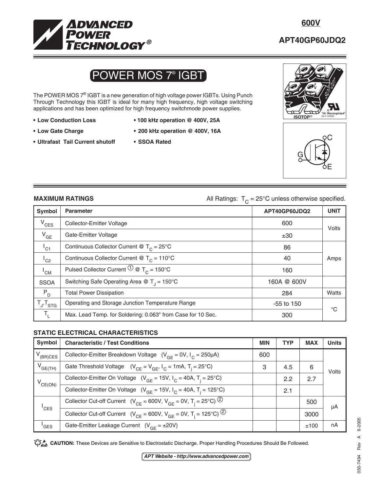

## **APT40GP60JDQ2**

# POWER MOS 7® IGBT

The POWER MOS 7<sup>®</sup> IGBT is a new generation of high voltage power IGBTs. Using Punch Through Technology this IGBT is ideal for many high frequency, high voltage switching applications and has been optimized for high frequency switchmode power supplies.

- 
- 
- **Ultrafast Tail Current shutoff SSOA Rated**
- **Low Conduction Loss 100 kHz operation @ 400V, 25A**
- **Low Gate Charge 200 kHz operation @ 400V, 16A**
	-





**MAXIMUM RATINGS All Ratings:**  $T_c = 25^\circ \text{C}$  unless otherwise specified.

| Symbol              | <b>Parameter</b>                                                    | APT40GP60JDQ2 | <b>UNIT</b> |
|---------------------|---------------------------------------------------------------------|---------------|-------------|
| $V_{CES}$           | Collector-Emitter Voltage                                           | 600           | Volts       |
| $V_{GE}$            | Gate-Emitter Voltage                                                | ±30           |             |
| $L_{C1}$            | Continuous Collector Current @ $T_c = 25^{\circ}$ C                 | 86            |             |
| $^1$ C <sub>2</sub> | Continuous Collector Current @ $T_c = 110^{\circ}$ C                | 40            | Amps        |
| $^{\mathsf{I}}$ CM  | Pulsed Collector Current $\overline{O} \otimes T_c = 150^{\circ}$ C | 160           |             |
| <b>SSOA</b>         | Switching Safe Operating Area @ $T_{\parallel}$ = 150°C             | 160A @ 600V   |             |
| $P_D$               | <b>Total Power Dissipation</b>                                      | 284           | Watts       |
| $T_{J}$ , $T_{STG}$ | Operating and Storage Junction Temperature Range                    | $-55$ to 150  | $^{\circ}C$ |
| $T_{L}$             | Max. Lead Temp. for Soldering: 0.063" from Case for 10 Sec.         | 300           |             |

### **STATIC ELECTRICAL CHARACTERISTICS**

| Symbol              | <b>Characteristic / Test Conditions</b>                                                            | <b>MIN</b> | <b>TYP</b> | <b>MAX</b> | <b>Units</b> |  |
|---------------------|----------------------------------------------------------------------------------------------------|------------|------------|------------|--------------|--|
| $V_{(BR)CES}$       | Collector-Emitter Breakdown Voltage ( $V_{GF} = 0V$ , $I_C = 250 \mu A$ )                          | 600        |            |            |              |  |
| $V_{GE(TH)}$        | Gate Threshold Voltage $(V_{CF} = V_{GF}, I_C = 1mA, T_i = 25^{\circ}C)$                           | 3          | 4.5        | 6          | Volts        |  |
| $V_{CE(ON)}$        | Collector-Emitter On Voltage $(V_{GF} = 15V, I_C = 40A, T_i = 25^{\circ}C)$                        |            | 2.2        | 2.7        | μA           |  |
|                     | Collector-Emitter On Voltage ( $V_{GF}$ = 15V, $I_{C}$ = 40A, T <sub>i</sub> = 125°C)              |            | 2.1        |            |              |  |
| $^{\mathsf{I}}$ CES | Collector Cut-off Current ( $V_{CF}$ = 600V, $V_{GF}$ = 0V, T <sub>i</sub> = 25°C) <sup>(2)</sup>  |            |            | 500        |              |  |
|                     | Collector Cut-off Current ( $V_{CE}$ = 600V, $V_{GE}$ = 0V, T <sub>i</sub> = 125°C) <sup>(2)</sup> |            |            | 3000       |              |  |
| <sup>'</sup> GES    | Gate-Emitter Leakage Current $(V_{GF} = \pm 20V)$                                                  |            |            | ±100       | nA           |  |

CAUTION: These Devices are Sensitive to Electrostatic Discharge. Proper Handling Procedures Should Be Followed.

**APT Website - http://www.advancedpower.com**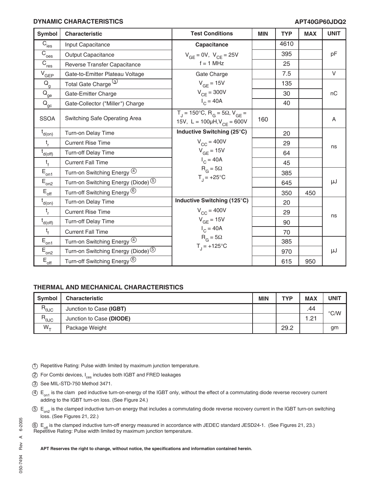#### **DYNAMIC CHARACTERISTICS**

#### **APT40GP60JDQ2**

| <b>Symbol</b>                                      | Characteristic                                  | <b>Test Conditions</b>                                                                                                 | <b>MIN</b> | <b>TYP</b> | <b>MAX</b> | <b>UNIT</b> |
|----------------------------------------------------|-------------------------------------------------|------------------------------------------------------------------------------------------------------------------------|------------|------------|------------|-------------|
| $\overline{C}_{\text{ies}}$                        | Input Capacitance                               | Capacitance                                                                                                            |            | 4610       |            |             |
| $\overline{C}_{\text{oes}}$                        | <b>Output Capacitance</b>                       | $V_{GE} = 0V$ , $V_{CE} = 25V$                                                                                         |            | 395        |            | pF          |
| $\overline{C}_{\text{res}}$                        | Reverse Transfer Capacitance                    | $f = 1$ MHz                                                                                                            |            | 25         |            |             |
| $V_{GEP}$                                          | Gate-to-Emitter Plateau Voltage                 | Gate Charge                                                                                                            |            | 7.5        |            | $\vee$      |
| $\mathsf{Q}_{\mathsf{g}}$                          | Total Gate Charge (3)                           | $V_{GF} = 15V$                                                                                                         |            | 135        |            |             |
| $\rm \bar{Q}_{\underline{ge}}$                     | Gate-Emitter Charge                             | $V_{CE}$ = 300V                                                                                                        |            | 30         |            | nC          |
| $Q_{\underline{\underline{\sigma} \underline{c}}}$ | Gate-Collector ("Miller") Charge                | $I_C = 40A$                                                                                                            |            | 40         |            |             |
| <b>SSOA</b>                                        | Switching Safe Operating Area                   | $T_{\text{J}}$ = 150°C, R <sub>G</sub> = 5 $\Omega$ , V <sub>GF</sub> =<br>15V, L = $100\mu$ H, V <sub>CE</sub> = 600V | 160        |            |            | A           |
| $t_{d(0n)}$                                        | Turn-on Delay Time                              | Inductive Switching (25°C)                                                                                             |            | 20         |            |             |
| $t_{r}$                                            | <b>Current Rise Time</b>                        | $V_{CC}$ = 400V                                                                                                        |            | 29         |            | ns          |
| $\overline{t}_{d(\underline{off})}$                | <b>Turn-off Delay Time</b>                      | $V_{GF}$ = 15V                                                                                                         |            | 64         |            |             |
| $t_{f}$                                            | <b>Current Fall Time</b>                        | $I_C = 40A$                                                                                                            |            | 45         |            |             |
| $E_{\underline{on1}}$                              | Turn-on Switching Energy 4                      | $R_G = 5\Omega$                                                                                                        |            | 385        |            |             |
| $E_{\text{on2}}$                                   | Turn-on Switching Energy (Diode) $^{\circledS}$ | $T_{1} = +25^{\circ}C$                                                                                                 |            | 645        |            | μJ          |
| $\mathsf{E}_{\mathsf{off}}$                        | Turn-off Switching Energy <sup>(6)</sup>        |                                                                                                                        |            | 350        | 450        |             |
| $t_{d(0n)}$                                        | Turn-on Delay Time                              | Inductive Switching (125°C)                                                                                            |            | 20         |            |             |
| $t_{r}$                                            | <b>Current Rise Time</b>                        | $V_{CC}$ = 400V                                                                                                        |            | 29         |            | ns          |
| $t_{d(off)}$                                       | <b>Turn-off Delay Time</b>                      | $V_{GE}$ = 15V                                                                                                         |            | 90         |            |             |
| $t_{f}$                                            | <b>Current Fall Time</b>                        | $I_C = 40A$                                                                                                            |            | 70         |            |             |
| $E_{\underline{on1}}$                              | Turn-on Switching Energy 4                      | $R_G = 5\Omega$                                                                                                        |            | 385        |            |             |
| $E_{on2}$                                          | Turn-on Switching Energy (Diode) <sup>5</sup>   | $T_1 = +125^{\circ}C$                                                                                                  |            | 970        |            | μJ          |
| $\mathsf{E}_{\mathsf{off}}$                        | Turn-off Switching Energy <sup>6</sup>          |                                                                                                                        |            | 615        | 950        |             |

#### **THERMAL AND MECHANICAL CHARACTERISTICS**

| <b>Symbol</b>          | <b>Characteristic</b>    | <b>MIN</b> | <b>TYP</b> | <b>MAX</b> | UNIT          |
|------------------------|--------------------------|------------|------------|------------|---------------|
| $R_{\theta \text{JC}}$ | Junction to Case (IGBT)  |            |            | .44        | $\degree$ C/W |
| $R_{\theta$ JC         | Junction to Case (DIODE) |            |            | 1.21       |               |
| $W_{+}$                | Package Weight           |            | 29.2       |            | gm            |

- 1 Repetitive Rating: Pulse width limited by maximum junction temperature.
- 2 For Combi devices, I<sub>ces</sub> includes both IGBT and FRED leakages
- 3 See MIL-STD-750 Method 3471.
- $4.4$  E<sub>on1</sub> is the clam ped inductive turn-on-energy of the IGBT only, without the effect of a commutating diode reverse recovery current adding to the IGBT turn-on loss. (See Figure 24.)
- $5 E_{\text{on}}$  is the clamped inductive turn-on energy that includes a commutating diode reverse recovery current in the IGBT turn-on switching loss. (See Figures 21, 22.)
- 6) E<sub>off</sub> is the clamped inductive turn-off energy measured in accordance with JEDEC standard JESD24-1. (See Figures 21, 23.)<br>Repetitive Rating: Pulse width limited by maximum junction temperature.

#### **APT Reserves the right to change, without notice, the specifications and information contained herein.**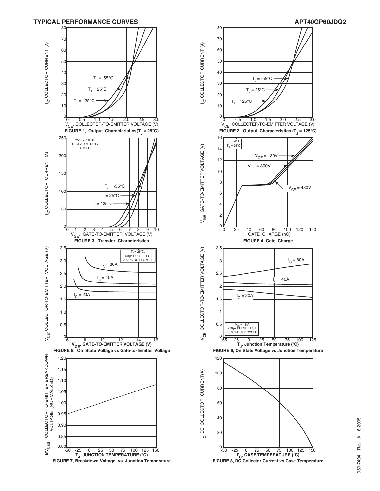



6-2005 050-7494 Rev A 6-2005  $\prec$ Rev 050-7494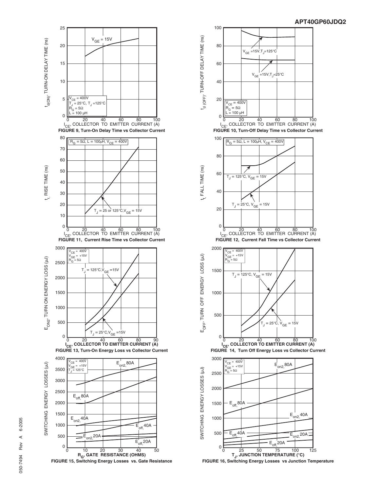





**FIGURE 16, Switching Energy Losses vs Junction Temperature**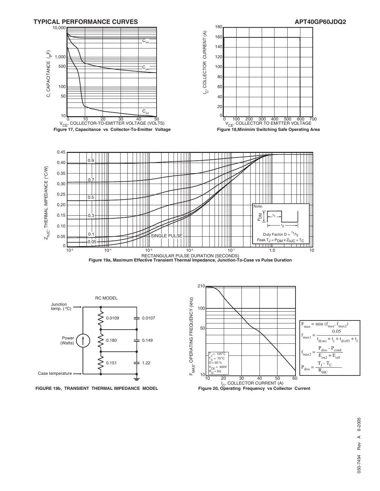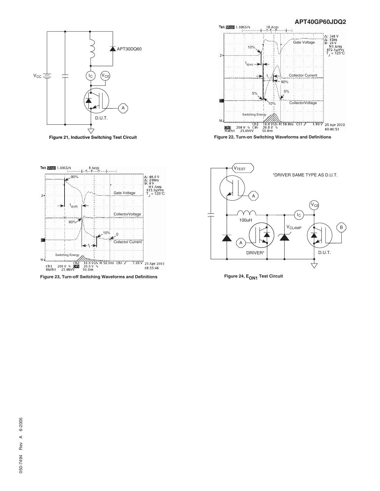

**Figure 21, Inductive Switching Test Circuit**



**APT40GP60JDQ2**



**Figure 23, Turn-off Switching Waveforms and Definitions**



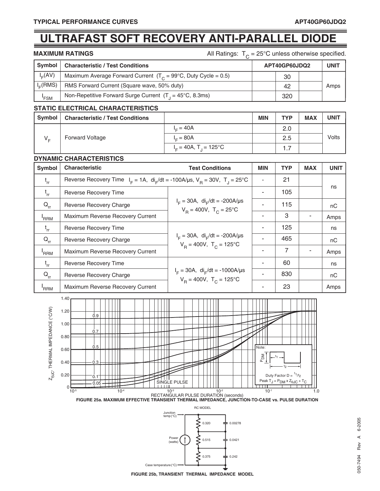## **ULTRAFAST SOFT RECOVERY ANTI-PARALLEL DIODE**

| MAXIMUM RATINGS |  |  |  |  |  |  |  |  |  |  |
|-----------------|--|--|--|--|--|--|--|--|--|--|
|-----------------|--|--|--|--|--|--|--|--|--|--|

All Ratings:  $T_C = 25^{\circ}$ C unless otherwise specified.

| Symbol     | <b>Characteristic / Test Conditions</b>                                   | APT40GP60JDQ2 | <b>UNIT</b> |
|------------|---------------------------------------------------------------------------|---------------|-------------|
| $I_E(AV)$  | Maximum Average Forward Current $(T_c = 99^{\circ}C,$ Duty Cycle = 0.5)   | 30            |             |
| $I_c(RMS)$ | RMS Forward Current (Square wave, 50% duty)                               | 42            | Amps        |
| 'FSM       | Non-Repetitive Forward Surge Current $(T_1 = 45^{\circ}C, 8.3 \text{ms})$ | 320           |             |

#### **STATIC ELECTRICAL CHARACTERISTICS**

| Symbol  | <b>Characteristic / Test Conditions</b> |                                      | <b>MIN</b> | <b>TYP</b> | <b>MAX</b> | <b>UNIT</b> |
|---------|-----------------------------------------|--------------------------------------|------------|------------|------------|-------------|
|         |                                         | $I = 40A$                            |            | 2.0        |            |             |
| $V_{E}$ | <b>Forward Voltage</b>                  | $L = 80A$                            |            | 2.5        |            | Volts       |
|         |                                         | $I_c = 40A$ , T <sub>1</sub> = 125°C |            | .          |            |             |

#### **DYNAMIC CHARACTERISTICS**

| <b>Symbol</b>    | <b>Characteristic</b>                                                                          | <b>Test Conditions</b>                                                               | <b>MIN</b> | <b>TYP</b> | <b>MAX</b> | <b>UNIT</b> |
|------------------|------------------------------------------------------------------------------------------------|--------------------------------------------------------------------------------------|------------|------------|------------|-------------|
| $t_{rr}$         | Reverse Recovery Time $I_F = 1A$ , $di_F/dt = -100A/\mu s$ , $V_B = 30V$ , $T_A = 25^{\circ}C$ |                                                                                      |            | 21         |            |             |
| $t_{rr}$         | Reverse Recovery Time                                                                          |                                                                                      |            | 105        |            | ns          |
| $Q_{rr}$         | Reverse Recovery Charge                                                                        | $I_F = 30A$ , di <sub>r</sub> /dt = -200A/µs<br>$V_B = 400V$ , $T_C = 25^{\circ}C$   |            | 115        |            | nC          |
| 'RRM             | Maximum Reverse Recovery Current                                                               |                                                                                      |            | 3          |            | Amps        |
| $t_{rr}$         | Reverse Recovery Time                                                                          | $I_F = 30A$ , di <sub>F</sub> /dt = -200A/µs<br>$V_B = 400V$ , $T_C = 125^{\circ}C$  |            | 125        |            | ns          |
| $Q_{rr}$         | Reverse Recovery Charge                                                                        |                                                                                      |            | 465        |            | nC          |
| <sup>'</sup> RRM | Maximum Reverse Recovery Current                                                               |                                                                                      |            | 7          |            | Amps        |
| $t_{rr}$         | Reverse Recovery Time                                                                          | $I_F = 30A$ , di <sub>F</sub> /dt = -1000A/µs<br>$V_B = 400V$ , $T_C = 125^{\circ}C$ |            | 60         |            | ns          |
| $Q_{rr}$         | Reverse Recovery Charge                                                                        |                                                                                      |            | 830        |            | nC          |
| 'RRM             | Maximum Reverse Recovery Current                                                               |                                                                                      |            | 23         |            | Amps        |



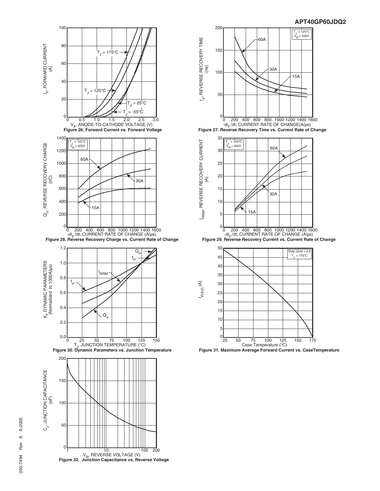



**Figure 31. Maximum Average Forward Current vs. CaseTemperature**